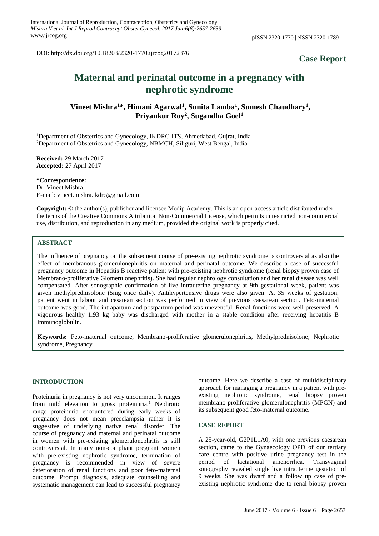DOI: http://dx.doi.org/10.18203/2320-1770.ijrcog20172376

## **Case Report**

# **Maternal and perinatal outcome in a pregnancy with nephrotic syndrome**

**Vineet Mishra<sup>1</sup>\*, Himani Agarwal<sup>1</sup> , Sunita Lamba<sup>1</sup> , Sumesh Chaudhary<sup>1</sup> , Priyankur Roy<sup>2</sup> , Sugandha Goel 1**

<sup>1</sup>Department of Obstetrics and Gynecology, IKDRC-ITS, Ahmedabad, Gujrat, India <sup>2</sup>Department of Obstetrics and Gynecology, NBMCH, Siliguri, West Bengal, India

**Received:** 29 March 2017 **Accepted:** 27 April 2017

**\*Correspondence:**

Dr. Vineet Mishra, E-mail: vineet.mishra.ikdrc@gmail.com

**Copyright:** © the author(s), publisher and licensee Medip Academy. This is an open-access article distributed under the terms of the Creative Commons Attribution Non-Commercial License, which permits unrestricted non-commercial use, distribution, and reproduction in any medium, provided the original work is properly cited.

## **ABSTRACT**

The influence of pregnancy on the subsequent course of pre-existing nephrotic syndrome is controversial as also the effect of membranous glomerulonephritis on maternal and perinatal outcome. We describe a case of successful pregnancy outcome in Hepatitis B reactive patient with pre-existing nephrotic syndrome (renal biopsy proven case of Membrano-proliferative Glomerulonephritis). She had regular nephrology consultation and her renal disease was well compensated. After sonographic confirmation of live intrauterine pregnancy at 9th gestational week, patient was given methylprednisolone (5mg once daily). Antihypertensive drugs were also given. At 35 weeks of gestation, patient went in labour and cesarean section was performed in view of previous caesarean section. Feto-maternal outcome was good. The intrapartum and postpartum period was uneventful. Renal functions were well preserved. A vigourous healthy 1.93 kg baby was discharged with mother in a stable condition after receiving hepatitis B immunoglobulin.

**Keywords:** Feto-maternal outcome, Membrano-proliferative glomerulonephritis, Methylprednisolone, Nephrotic syndrome, Pregnancy

#### **INTRODUCTION**

Proteinuria in pregnancy is not very uncommon. It ranges from mild elevation to gross proteinuria.<sup>1</sup> Nephrotic range proteinuria encountered during early weeks of pregnancy does not mean preeclampsia rather it is suggestive of underlying native renal disorder. The course of pregnancy and maternal and perinatal outcome in women with pre-existing glomerulonephritis is still controversial. In many non-compliant pregnant women with pre-existing nephrotic syndrome, termination of pregnancy is recommended in view of severe deterioration of renal functions and poor feto-maternal outcome. Prompt diagnosis, adequate counselling and systematic management can lead to successful pregnancy outcome. Here we describe a case of multidisciplinary approach for managing a pregnancy in a patient with preexisting nephrotic syndrome, renal biopsy proven membrano-proliferative glomerulonephritis (MPGN) and its subsequent good feto-maternal outcome.

#### **CASE REPORT**

A 25-year-old, G2P1L1A0, with one previous caesarean section, came to the Gynaecology OPD of our tertiary care centre with positive urine pregnancy test in the period of lactational amenorrhea. Transvaginal sonography revealed single live intrauterine gestation of 9 weeks. She was dwarf and a follow up case of preexisting nephrotic syndrome due to renal biopsy proven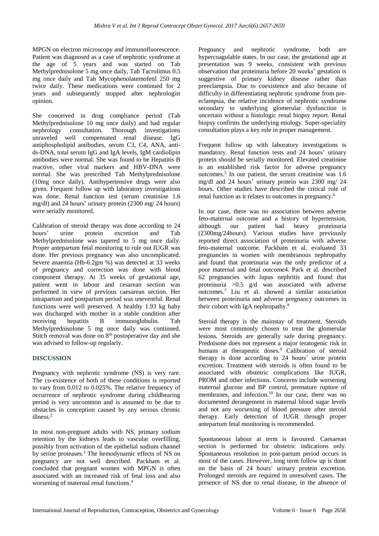MPGN on electron microscopy and immunofluorescence. Patient was diagnosed as a case of nephrotic syndrome at the age of 5 years and was started on Tab Methylprednisolone 5 mg once daily, Tab Tacrolimus 0.5 mg once daily and Tab Mycophenolatemofetil 250 mg twice daily. These medications were continued for 2 years and subsequently stopped after nephrologist opinion.

She conceived in drug compliance period (Tab Methylprednisolone 10 mg once daily) and had regular nephrology consultation. Thorough investigations unraveled well compensated renal disease. IgG antiphospholipid antibodies, serum C3, C4, ANA, antids-DNA, total serum IgG and IgA levels, IgM cardiolipin antibodies were normal. She was found to be Hepatitis B reactive, other viral markers and HBV-DNA were normal. She was prescribed Tab Methylprednisolone (10mg once daily). Antihypertensive drugs were also given. Frequent follow up with laboratory investigations was done. Renal function test (serum creatinine 1.6 mg/dl) and 24 hours' urinary protein (2300 mg/ 24 hours) were serially monitored.

Calibration of steroid therapy was done according to 24 hours' urine protein excretion and Tab Methylprednisolone was tapered to 5 mg once daily. Proper antepartum fetal monitoring to rule out IUGR was done. Her previous pregnancy was also uncomplicated. Severe anaemia (Hb-6.2gm %) was detected at 33 weeks of pregnancy and correction was done with blood component therapy. At 35 weeks of gestational age, patient went in labour and cesarean section was performed in view of previous caesarean section. Her intrapartum and postpartum period was uneventful. Renal functions were well preserved. A healthy 1.93 kg baby was discharged with mother in a stable condition after receiving hepatitis B immunoglobulin. Tab Methylprednisolone 5 mg once daily was continued. Stitch removal was done on 8<sup>th</sup> postoperative day and she was advised to follow-up regularly.

## **DISCUSSION**

Pregnancy with nephrotic syndrome (NS) is very rare. The co-existence of both of these conditions is reported to vary from 0.012 to 0.025%. The relative frequency of occurrence of nephrotic syndrome during childbearing period is very uncommon and is assumed to be due to obstacles in conception caused by any serious chronic illness. 2

In most non-pregnant adults with NS, primary sodium retention by the kidneys leads to vascular overfilling, possibly from activation of the epithelial sodium channel by serine proteases. <sup>3</sup> The hemodynamic effects of NS on pregnancy are not well described. Packham et al. concluded that pregnant women with MPGN is often associated with an increased risk of fetal loss and also worsening of maternal renal functions. 4

Pregnancy and nephrotic syndrome, both are hypercoagulable states. In our case, the gestational age at presentation was 9 weeks, consistent with previous observation that proteinuria before 20 weeks' gestation is suggestive of primary kidney disease rather than preeclampsia. Due to coexistence and also because of difficulty in differentiating nephrotic syndrome from preeclampsia, the relative incidence of nephrotic syndrome secondary to underlying glomerular dysfunction is uncertain without a histologic renal biopsy report. Renal biopsy confirms the underlying etiology. Super-speciality consultation plays a key role in proper management.

Frequent follow up with laboratory investigations is mandatory. Renal function tests and 24 hours' urinary protein should be serially monitored. Elevated creatinine is an established risk factor for adverse pregnancy outcomes. 5 In our patient, the serum creatinine was 1.6 mg/dl and 24 hours' urinary protein was 2300 mg/ 24 hours. Other studies have described the critical role of renal function as it relates to outcomes in pregnancy. 6

In our case, there was no association between adverse feto-maternal outcome and a history of hypertension, although our patient had heavy proteinuria (2300mg/24hours). Various studies have previously reported direct association of proteinuria with adverse feto-maternal outcome. Packham et al. evaluated 33 pregnancies in women with membranous nephropathy and found that proteinuria was the only predictor of a poor maternal and fetal outcome4. Park et al. described 62 pregnancies with lupus nephritis and found that proteinuria >0.5 g/d was associated with adverse outcomes. <sup>7</sup> Liu et al. showed a similar association between proteinuria and adverse pregnancy outcomes in their cohort with IgA nephropathy. 8

Steroid therapy is the mainstay of treatment. Steroids were most commonly chosen to treat the glomerular lesions. Steroids are generally safe during pregnancy. Prednisone does not represent a major teratogenic risk in humans at therapeutic doses. <sup>9</sup> Calibration of steroid therapy is done according to 24 hours' urine protein excretion. Treatment with steroids is often found to be associated with obstetric complications like IUGR, PROM and other infections. Concerns include worsening maternal glucose and BP control, premature rupture of membranes, and infection. 10 In our case, there was no documented derangement in maternal blood sugar levels and not any worsening of blood pressure after steroid therapy. Early detection of IUGR through proper antepartum fetal monitoring is recommended.

Spontaneous labour at term is favoured. Caesarean section is performed for obstetric indications only. Spontaneous resolution in post-partum period occurs in most of the cases. However, long term follow up is done on the basis of 24 hours' urinary protein excretion. Prolonged steroids are required in unresolved cases. The presence of NS due to renal disease, in the absence of